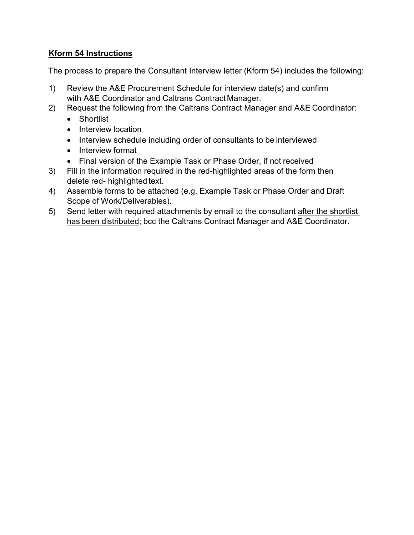# **Kform 54 Instructions**

The process to prepare the Consultant Interview letter (Kform 54) includes the following:

- 1) Review the A&E Procurement Schedule for interview date(s) and confirm with A&E Coordinator and Caltrans Contract Manager.
- 2) Request the following from the Caltrans Contract Manager and A&E Coordinator:
	- Shortlist
	- Interview location
	- Interview schedule including order of consultants to be interviewed
	- Interview format
	- Final version of the Example Task or Phase Order, if not received
- 3) Fill in the information required in the red-highlighted areas of the form then delete red- highlighted text.
- 4) Assemble forms to be attached (e.g. Example Task or Phase Order and Draft Scope of Work/Deliverables).
- 5) Send letter with required attachments by email to the consultant after the shortlist has been distributed; bcc the Caltrans Contract Manager and A&E Coordinator.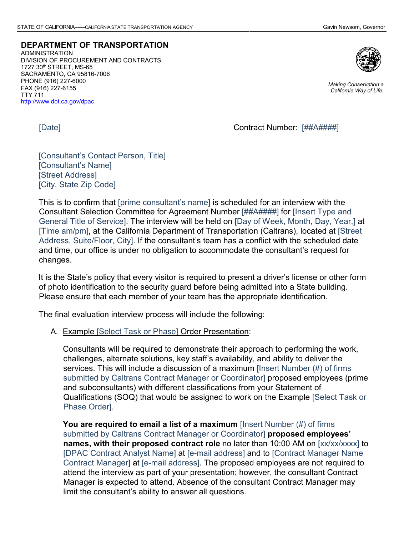**DEPARTMENT OF TRANSPORTATION**

ADMINISTRATION DIVISION OF PROCUREMENT AND CONTRACTS 1727 30th STREET, MS-65 SACRAMENTO, CA 95816-7006 PHONE (916) 227-6000 FAX (916) 227-6155 TTY 711 <http://www.dot.ca.gov/dpac>



*Making Conservation a California Way of Life.*

[Date] Contract Number: [##A####]

[Consultant's Contact Person, Title] [Consultant's Name] [Street Address] [City, State Zip Code]

This is to confirm that [prime consultant's name] is scheduled for an interview with the Consultant Selection Committee for Agreement Number [##A####] for [Insert Type and General Title of Service]. The interview will be held on [Day of Week, Month, Day, Year,] at [Time am/pm], at the California Department of Transportation (Caltrans), located at [Street Address, Suite/Floor, City]. If the consultant's team has a conflict with the scheduled date and time, our office is under no obligation to accommodate the consultant's request for changes.

It is the State's policy that every visitor is required to present a driver's license or other form of photo identification to the security guard before being admitted into a State building. Please ensure that each member of your team has the appropriate identification.

The final evaluation interview process will include the following:

A. Example [Select Task or Phase] Order Presentation:

Consultants will be required to demonstrate their approach to performing the work, challenges, alternate solutions, key staff's availability, and ability to deliver the services. This will include a discussion of a maximum [Insert Number (#) of firms submitted by Caltrans Contract Manager or Coordinator] proposed employees (prime and subconsultants) with different classifications from your Statement of Qualifications (SOQ) that would be assigned to work on the Example [Select Task or Phase Order].

**You are required to email a list of a maximum** [Insert Number (#) of firms submitted by Caltrans Contract Manager or Coordinator] **proposed employees' names, with their proposed contract role** no later than 10:00 AM on [xx/xx/xxxx] to [DPAC Contract Analyst Name] at [e-mail address] and to [Contract Manager Name Contract Manager] at [e-mail address]. The proposed employees are not required to attend the interview as part of your presentation; however, the consultant Contract Manager is expected to attend. Absence of the consultant Contract Manager may limit the consultant's ability to answer all questions.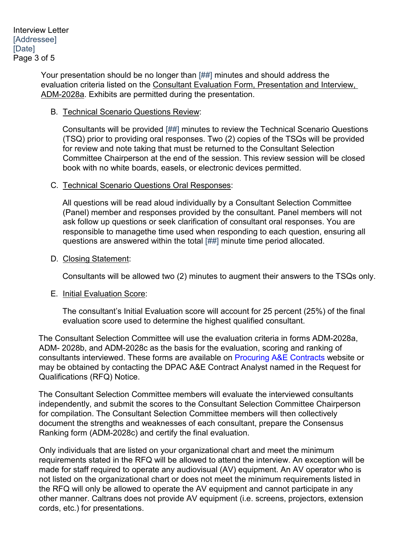Your presentation should be no longer than [##] minutes and should address the evaluation criteria listed on the Consultant Evaluation Form, Presentation and Interview, ADM-2028a. Exhibits are permitted during the presentation.

#### B. Technical Scenario Questions Review:

Consultants will be provided [##] minutes to review the Technical Scenario Questions (TSQ) prior to providing oral responses. Two (2) copies of the TSQs will be provided for review and note taking that must be returned to the Consultant Selection Committee Chairperson at the end of the session. This review session will be closed book with no white boards, easels, or electronic devices permitted.

## C. Technical Scenario Questions Oral Responses:

All questions will be read aloud individually by a Consultant Selection Committee (Panel) member and responses provided by the consultant. Panel members will not ask follow up questions or seek clarification of consultant oral responses. You are responsible to managethe time used when responding to each question, ensuring all questions are answered within the total [##] minute time period allocated.

## D. Closing Statement:

Consultants will be allowed two (2) minutes to augment their answers to the TSQs only.

#### E. Initial Evaluation Score:

The consultant's Initial Evaluation score will account for 25 percent (25%) of the final evaluation score used to determine the highest qualified consultant.

The Consultant Selection Committee will use the evaluation criteria in forms ADM-2028a, ADM- 2028b, and ADM-2028c as the basis for the evaluation, scoring and ranking of consultants interviewed. These forms are available on [Procuring A&E Contracts](https://dot.ca.gov/programs/procurement-and-contracts/ae-contract-information/procuring-a-e-contracts) website or may be obtained by contacting the DPAC A&E Contract Analyst named in the Request for Qualifications (RFQ) Notice.

The Consultant Selection Committee members will evaluate the interviewed consultants independently, and submit the scores to the Consultant Selection Committee Chairperson for compilation. The Consultant Selection Committee members will then collectively document the strengths and weaknesses of each consultant, prepare the Consensus Ranking form (ADM-2028c) and certify the final evaluation.

Only individuals that are listed on your organizational chart and meet the minimum requirements stated in the RFQ will be allowed to attend the interview. An exception will be made for staff required to operate any audiovisual (AV) equipment. An AV operator who is not listed on the organizational chart or does not meet the minimum requirements listed in the RFQ will only be allowed to operate the AV equipment and cannot participate in any other manner. Caltrans does not provide AV equipment (i.e. screens, projectors, extension cords, etc.) for presentations.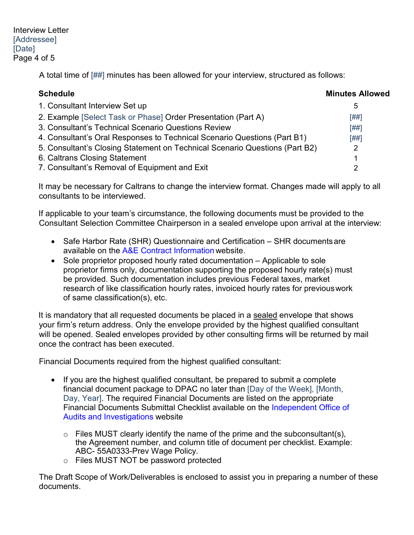Interview Letter [Addressee] [Date] Page 4 of 5

A total time of [##] minutes has been allowed for your interview, structured as follows:

| <b>Schedule</b>                                                             | <b>Minutes Allowed</b> |
|-----------------------------------------------------------------------------|------------------------|
| 1. Consultant Interview Set up                                              | 5                      |
| 2. Example [Select Task or Phase] Order Presentation (Part A)               | [##]                   |
| 3. Consultant's Technical Scenario Questions Review                         | [##]                   |
| 4. Consultant's Oral Responses to Technical Scenario Questions (Part B1)    | [##]                   |
| 5. Consultant's Closing Statement on Technical Scenario Questions (Part B2) | 2                      |
| 6. Caltrans Closing Statement                                               |                        |
| 7. Consultant's Removal of Equipment and Exit                               |                        |

It may be necessary for Caltrans to change the interview format. Changes made will apply to all consultants to be interviewed.

If applicable to your team's circumstance, the following documents must be provided to the Consultant Selection Committee Chairperson in a sealed envelope upon arrival at the interview:

- Safe Harbor Rate (SHR) Questionnaire and Certification SHR documents are available on the [A&E Contract Information](https://dot.ca.gov/programs/procurement-and-contracts/ae-contract-information) website.
- Sole proprietor proposed hourly rated documentation Applicable to sole proprietor firms only, documentation supporting the proposed hourly rate(s) must be provided. Such documentation includes previous Federal taxes, market research of like classification hourly rates, invoiced hourly rates for previouswork of same classification(s), etc.

It is mandatory that all requested documents be placed in a sealed envelope that shows your firm's return address. Only the envelope provided by the highest qualified consultant will be opened. Sealed envelopes provided by other consulting firms will be returned by mail once the contract has been executed.

Financial Documents required from the highest qualified consultant:

- If you are the highest qualified consultant, be prepared to submit a complete financial document package to DPAC no later than [Day of the Week], [Month, Day, Year]. The required Financial Documents are listed on the appropriate Financial Documents Submittal Checklist available on the [Independent Office of](https://ig.dot.ca.gov/) [Audits and Investigations](http://dot.ca.gov/audits/index.html) website
	- $\circ$  Files MUST clearly identify the name of the prime and the subconsultant(s), the Agreement number, and column title of document per checklist. Example: ABC- 55A0333-Prev Wage Policy.
	- o Files MUST NOT be password protected

The Draft Scope of Work/Deliverables is enclosed to assist you in preparing a number of these documents.